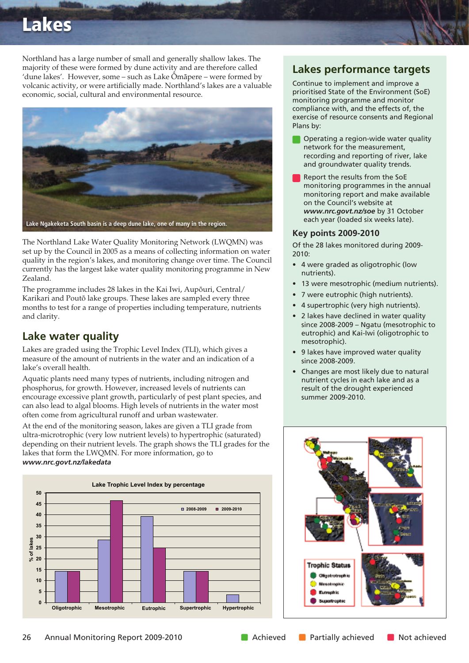# **Lakes**

Northland has a large number of small and generally shallow lakes. The majority of these were formed by dune activity and are therefore called 'dune lakes'. However, some – such as Lake Ömäpere – were formed by volcanic activity, or were artificially made. Northland's lakes are a valuable economic, social, cultural and environmental resource.



The Northland Lake Water Quality Monitoring Network (LWQMN) was set up by the Council in 2005 as a means of collecting information on water quality in the region's lakes, and monitoring change over time. The Council currently has the largest lake water quality monitoring programme in New Zealand.

The programme includes 28 lakes in the Kai Iwi, Aupöuri, Central/ Karikari and Poutö lake groups. These lakes are sampled every three months to test for a range of properties including temperature, nutrients and clarity.

# **Lake water quality**

Lakes are graded using the Trophic Level Index (TLI), which gives a measure of the amount of nutrients in the water and an indication of a lake's overall health.

Aquatic plants need many types of nutrients, including nitrogen and phosphorus, for growth. However, increased levels of nutrients can encourage excessive plant growth, particularly of pest plant species, and can also lead to algal blooms. High levels of nutrients in the water most often come from agricultural runoff and urban wastewater.

At the end of the monitoring season, lakes are given a TLI grade from ultra-microtrophic (very low nutrient levels) to hypertrophic (saturated) depending on their nutrient levels. The graph shows the TLI grades for the lakes that form the LWQMN. For more information, go to *www.nrc.govt.nz/lakedata*



# **Lakes performance targets**

Continue to implement and improve a prioritised State of the Environment (SoE) monitoring programme and monitor compliance with, and the effects of, the exercise of resource consents and Regional Plans by:

- Operating a region-wide water quality network for the measurement, recording and reporting of river, lake and groundwater quality trends.
- Report the results from the SoE monitoring programmes in the annual monitoring report and make available on the Council's website at *www.nrc.govt.nz/soe* by 31 October each year (loaded six weeks late).

#### **Key points 2009-2010**

Of the 28 lakes monitored during 2009- 2010:

- 4 were graded as oligotrophic (low nutrients).
- 13 were mesotrophic (medium nutrients).
- 7 were eutrophic (high nutrients).
- 4 supertrophic (very high nutrients).
- 2 lakes have declined in water quality since 2008-2009 – Ngatu (mesotrophic to eutrophic) and Kai-Iwi (oligotrophic to mesotrophic).
- 9 lakes have improved water quality since 2008-2009.
- Changes are most likely due to natural nutrient cycles in each lake and as a result of the drought experienced summer 2009-2010.